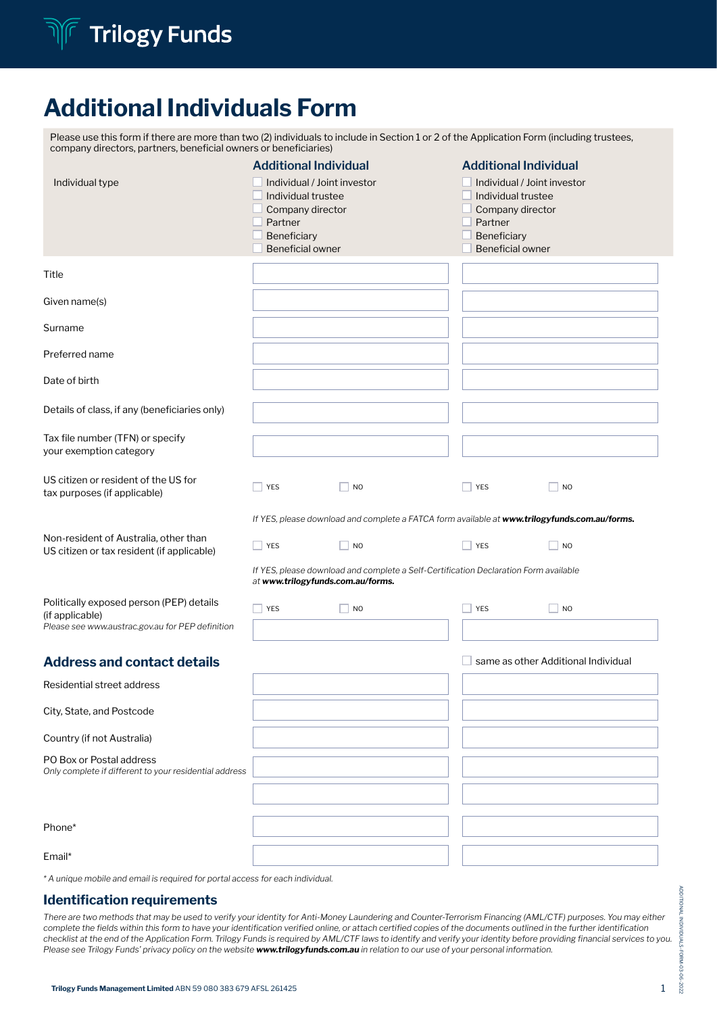

## Additional Individuals Form

| Please use this form if there are more than two (2) individuals to include in Section 1 or 2 of the Application Form (including trustees,<br>company directors, partners, beneficial owners or beneficiaries) |                                                                                                                                                            |                                                                                               |                                                                                                                                                                   |                                     |
|---------------------------------------------------------------------------------------------------------------------------------------------------------------------------------------------------------------|------------------------------------------------------------------------------------------------------------------------------------------------------------|-----------------------------------------------------------------------------------------------|-------------------------------------------------------------------------------------------------------------------------------------------------------------------|-------------------------------------|
| Individual type                                                                                                                                                                                               | <b>Additional Individual</b><br>Individual / Joint investor<br>Individual trustee<br>Company director<br>Partner<br>Beneficiary<br><b>Beneficial owner</b> |                                                                                               | <b>Additional Individual</b><br>$\Box$ Individual / Joint investor<br>Individual trustee<br>Company director<br>Partner<br>Beneficiary<br><b>Beneficial owner</b> |                                     |
| Title                                                                                                                                                                                                         |                                                                                                                                                            |                                                                                               |                                                                                                                                                                   |                                     |
| Given name(s)                                                                                                                                                                                                 |                                                                                                                                                            |                                                                                               |                                                                                                                                                                   |                                     |
| Surname                                                                                                                                                                                                       |                                                                                                                                                            |                                                                                               |                                                                                                                                                                   |                                     |
| Preferred name                                                                                                                                                                                                |                                                                                                                                                            |                                                                                               |                                                                                                                                                                   |                                     |
| Date of birth                                                                                                                                                                                                 |                                                                                                                                                            |                                                                                               |                                                                                                                                                                   |                                     |
| Details of class, if any (beneficiaries only)                                                                                                                                                                 |                                                                                                                                                            |                                                                                               |                                                                                                                                                                   |                                     |
| Tax file number (TFN) or specify<br>your exemption category                                                                                                                                                   |                                                                                                                                                            |                                                                                               |                                                                                                                                                                   |                                     |
| US citizen or resident of the US for<br>tax purposes (if applicable)                                                                                                                                          | YES                                                                                                                                                        | <b>NO</b>                                                                                     | $ $ YES                                                                                                                                                           | NO                                  |
|                                                                                                                                                                                                               |                                                                                                                                                            | If YES, please download and complete a FATCA form available at www.trilogyfunds.com.au/forms. |                                                                                                                                                                   |                                     |
| Non-resident of Australia, other than<br>US citizen or tax resident (if applicable)                                                                                                                           | YES                                                                                                                                                        | N <sub>O</sub>                                                                                | $\Box$ YES                                                                                                                                                        | N <sub>O</sub>                      |
|                                                                                                                                                                                                               | at www.trilogyfunds.com.au/forms.                                                                                                                          | If YES, please download and complete a Self-Certification Declaration Form available          |                                                                                                                                                                   |                                     |
| Politically exposed person (PEP) details<br>(if applicable)<br>Please see www.austrac.gov.au for PEP definition                                                                                               | YES                                                                                                                                                        | N <sub>O</sub>                                                                                | $\Box$ YES                                                                                                                                                        | $\overline{\phantom{a}}$ NO         |
| <b>Address and contact details</b>                                                                                                                                                                            |                                                                                                                                                            |                                                                                               |                                                                                                                                                                   | same as other Additional Individual |
| Residential street address                                                                                                                                                                                    |                                                                                                                                                            |                                                                                               |                                                                                                                                                                   |                                     |
| City, State, and Postcode                                                                                                                                                                                     |                                                                                                                                                            |                                                                                               |                                                                                                                                                                   |                                     |
| Country (if not Australia)                                                                                                                                                                                    |                                                                                                                                                            |                                                                                               |                                                                                                                                                                   |                                     |
| PO Box or Postal address<br>Only complete if different to your residential address                                                                                                                            |                                                                                                                                                            |                                                                                               |                                                                                                                                                                   |                                     |
|                                                                                                                                                                                                               |                                                                                                                                                            |                                                                                               |                                                                                                                                                                   |                                     |
| Phone*                                                                                                                                                                                                        |                                                                                                                                                            |                                                                                               |                                                                                                                                                                   |                                     |
| Email*                                                                                                                                                                                                        |                                                                                                                                                            |                                                                                               |                                                                                                                                                                   |                                     |

*\* A unique mobile and email is required for portal access for each individual.* 

### Identification requirements

There are two methods that may be used to verify your identity for Anti-Money Laundering and Counter-Terrorism Financing (AML/CTF) purposes. You may either *complete the fields within this form to have your identification verified online, or attach certified copies of the documents outlined in the further identification checklist at the end of the Application Form. Trilogy Funds is required by AML/CTF laws to identify and verify your identity before providing financial services to you. Please see Trilogy Funds' privacy policy on the website www.trilogyfunds.com.au in relation to our use of your personal information.*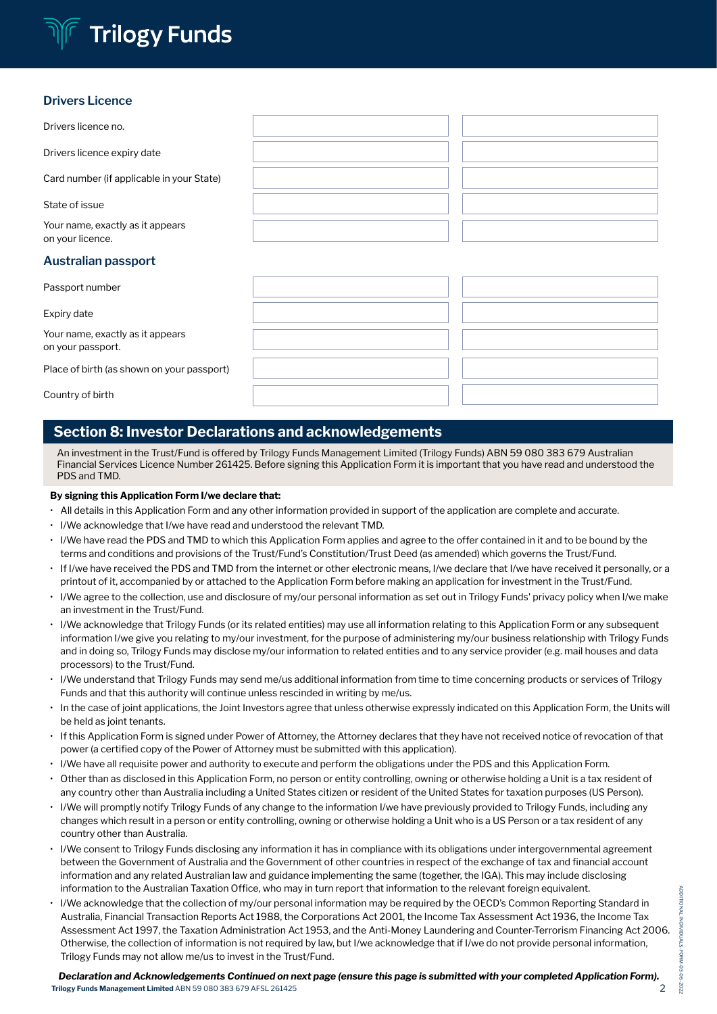# **Trilogy Funds**

### **Drivers Licence**

| Drivers licence no.                                   |  |  |  |  |  |  |
|-------------------------------------------------------|--|--|--|--|--|--|
| Drivers licence expiry date                           |  |  |  |  |  |  |
| Card number (if applicable in your State)             |  |  |  |  |  |  |
| State of issue                                        |  |  |  |  |  |  |
| Your name, exactly as it appears<br>on your licence.  |  |  |  |  |  |  |
| Australian passport                                   |  |  |  |  |  |  |
| Passport number                                       |  |  |  |  |  |  |
| Expiry date                                           |  |  |  |  |  |  |
| Your name, exactly as it appears<br>on your passport. |  |  |  |  |  |  |
|                                                       |  |  |  |  |  |  |

Place of birth (as shown on your passport)

Country of birth

## Section 8: Investor Declarations and acknowledgements

An investment in the Trust/Fund is offered by Trilogy Funds Management Limited (Trilogy Funds) ABN 59 080 383 679 Australian Financial Services Licence Number 261425. Before signing this Application Form it is important that you have read and understood the PDS and TMD.

#### By signing this Application Form I/we declare that:

- All details in this Application Form and any other information provided in support of the application are complete and accurate.
- I/We acknowledge that I/we have read and understood the relevant TMD.
- I/We have read the PDS and TMD to which this Application Form applies and agree to the offer contained in it and to be bound by the terms and conditions and provisions of the Trust/Fund's Constitution/Trust Deed (as amended) which governs the Trust/Fund.
- If I/we have received the PDS and TMD from the internet or other electronic means, I/we declare that I/we have received it personally, or a printout of it, accompanied by or attached to the Application Form before making an application for investment in the Trust/Fund.
- I/We agree to the collection, use and disclosure of my/our personal information as set out in Trilogy Funds' privacy policy when I/we make an investment in the Trust/Fund.
- I/We acknowledge that Trilogy Funds (or its related entities) may use all information relating to this Application Form or any subsequent information I/we give you relating to my/our investment, for the purpose of administering my/our business relationship with Trilogy Funds and in doing so, Trilogy Funds may disclose my/our information to related entities and to any service provider (e.g. mail houses and data processors) to the Trust/Fund.
- I/We understand that Trilogy Funds may send me/us additional information from time to time concerning products or services of Trilogy Funds and that this authority will continue unless rescinded in writing by me/us.
- In the case of joint applications, the Joint Investors agree that unless otherwise expressly indicated on this Application Form, the Units will be held as joint tenants.
- If this Application Form is signed under Power of Attorney, the Attorney declares that they have not received notice of revocation of that power (a certified copy of the Power of Attorney must be submitted with this application).
- I/We have all requisite power and authority to execute and perform the obligations under the PDS and this Application Form.
- Other than as disclosed in this Application Form, no person or entity controlling, owning or otherwise holding a Unit is a tax resident of any country other than Australia including a United States citizen or resident of the United States for taxation purposes (US Person).
- I/We will promptly notify Trilogy Funds of any change to the information I/we have previously provided to Trilogy Funds, including any changes which result in a person or entity controlling, owning or otherwise holding a Unit who is a US Person or a tax resident of any country other than Australia.
- I/We consent to Trilogy Funds disclosing any information it has in compliance with its obligations under intergovernmental agreement between the Government of Australia and the Government of other countries in respect of the exchange of tax and financial account information and any related Australian law and guidance implementing the same (together, the IGA). This may include disclosing information to the Australian Taxation Office, who may in turn report that information to the relevant foreign equivalent.
- I/We acknowledge that the collection of my/our personal information may be required by the OECD's Common Reporting Standard in Australia, Financial Transaction Reports Act 1988, the Corporations Act 2001, the Income Tax Assessment Act 1936, the Income Tax Assessment Act 1997, the Taxation Administration Act 1953, and the Anti-Money Laundering and Counter-Terrorism Financing Act 2006. Otherwise, the collection of information is not required by law, but I/we acknowledge that if I/we do not provide personal information, Trilogy Funds may not allow me/us to invest in the Trust/Fund.